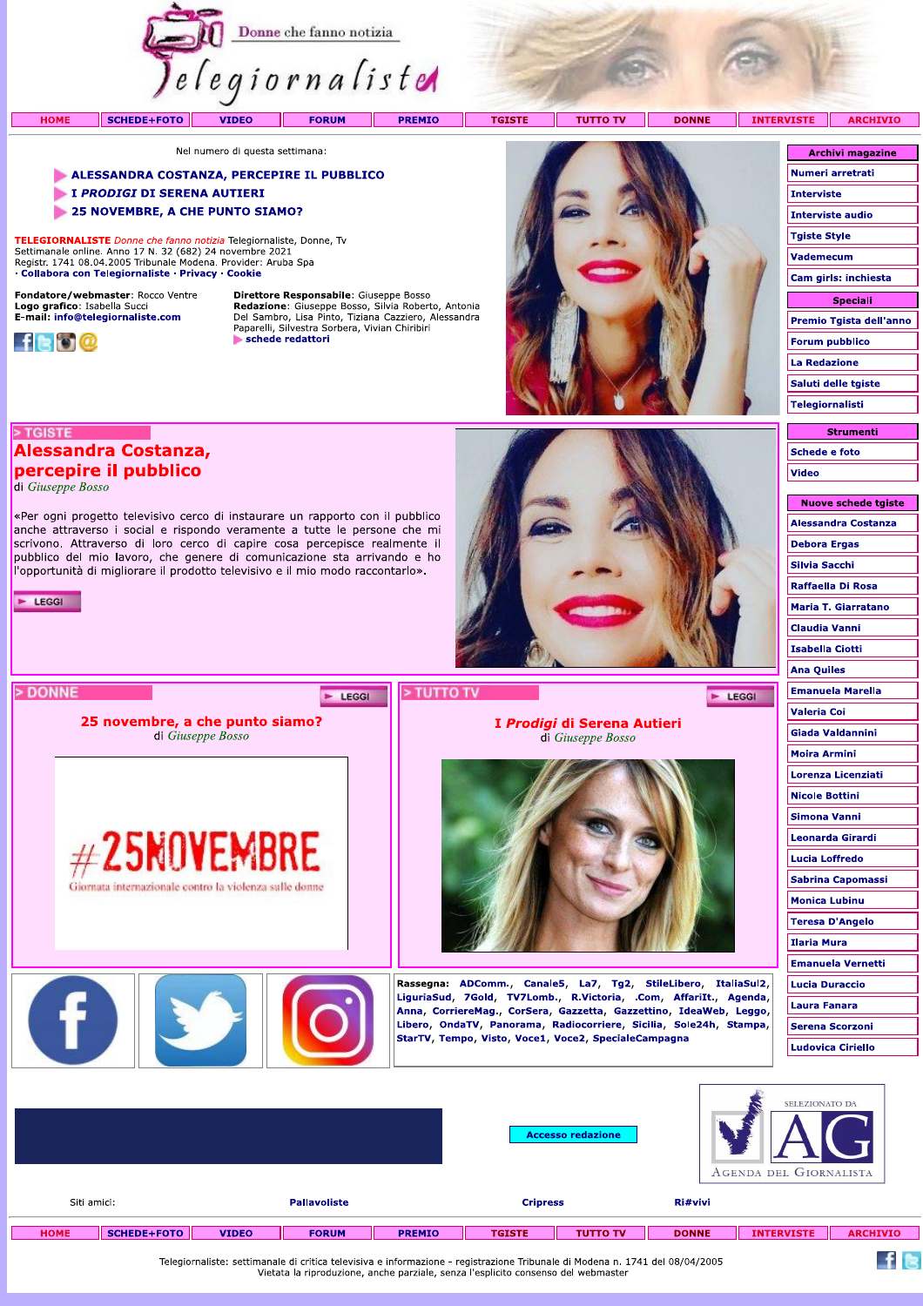

**TGISTE** 

**TUTTO TV** T I

**DONNE INTERY** 

Nel numero di questa settimana:

## ALESSANDRA COSTANZA, PERCEPIRE IL PUBBLICO

«Per ogni progetto televisivo cerco di instaurare un rapporto con il pubblico anche attraverso i social e rispondo veramente a tutte le persone che mi scrivono. Attraverso di loro cerco di capire cosa percepisce realmente il pubblico del mio lavoro, che genere di comunicazione sta arrivando e ho l'opportunità di migliorare il prodotto televisivo e il mio modo raccontarlo».

25 novembre, a che punto siamo?

di Giuseppe Bosso

 $#25$ NOVEMBRE

Giornata internazionale contro la violenza sulle donno

- I PRODIGI DI SERENA AUTIERI
- 25 NOVEMBRE, A CHE PUNTO SIAMO?

TELEGIORNALISTE Donne che fanno notizia Telegiornaliste, Donne, Ty Settimanale online. Anno 17 N. 32 (682) 24 novembre 2021<br>Registr. 1741 08.04.2005 Tribunale Modena. Provider: Aruba Spa · Collabora con Telegiornaliste · Privacy · Cookie

Fondatore/webmaster: Rocco Ventre Logo grafico: Isabella Succi<br>E-mail: info@telegiornaliste.com

**Alessandra Costanza,** 

percepire il pubblico



> TGISTE

 $E = LEGGI$ 

> DONNE

di Giuseppe Bosso

**HOME** 

Direttore Responsabile: Giuseppe Bosso France Consequence Consequence Consequence Consequence Consequence Consequence Del Sambro, Lisa Pinto, Tiziana Cazziero, Alessandra Paparelli, Silvestra Sorbera, Vivian Chiribiri schede redattori

E LEGGI



I Prodigi di Serena Autieri

di Giuseppe Bosso

Rassegna: ADComm., Canale5, La7, Tg2, StileLibero, ItaliaSul2, LiguriaSud, 7Gold, TV7Lomb., R.Victoria, .Com, AffariIt., Agenda, Anna, CorriereMag., CorSera, Gazzetta, Gazzettino, IdeaWeb, Leggo, Libero, OndaTV, Panorama, Radiocorriere, Sicilia, Sole24h, Stampa,

StarTV, Tempo, Visto, Voce1, Voce2, SpecialeCampagna

| <b>/ISTE</b>            | <b>ARCHIVIO</b>         |  |  |  |  |  |
|-------------------------|-------------------------|--|--|--|--|--|
|                         |                         |  |  |  |  |  |
| <b>Archivi magazine</b> |                         |  |  |  |  |  |
| Numeri arretrati        |                         |  |  |  |  |  |
| <b>Interviste</b>       |                         |  |  |  |  |  |
| <b>Interviste audio</b> |                         |  |  |  |  |  |
| Tgiste Style            |                         |  |  |  |  |  |
| <b>Vademecum</b>        |                         |  |  |  |  |  |
| Cam girls: inchiesta    |                         |  |  |  |  |  |
| <b>Speciali</b>         |                         |  |  |  |  |  |
|                         | Premio Tgista dell'anno |  |  |  |  |  |
|                         | <b>Forum pubblico</b>   |  |  |  |  |  |
| <b>La Redazione</b>     |                         |  |  |  |  |  |
|                         | Saluti delle tgiste     |  |  |  |  |  |
| Telegiornalisti         |                         |  |  |  |  |  |
|                         |                         |  |  |  |  |  |

**Strumenti** Schede e foto Video

| Nuove schede tgiste        |
|----------------------------|
| <b>Alessandra Costanza</b> |
| <b>Debora Ergas</b>        |
| Silvia Sacchi              |
| Raffaella Di Rosa          |
| Maria T. Giarratano        |
| <b>Claudia Vanni</b>       |
| <b>Isabella Ciotti</b>     |
| Ana Quiles                 |
| <b>Emanuela Marella</b>    |
| Valeria Coi                |
| Giada Valdannini           |
| Moira Armini               |
| Lorenza Licenziati         |
| Nicole Bottini             |
| Simona Vanni               |
| Leonarda Girardi           |
| <b>Lucia Loffredo</b>      |
| Sabrina Capomassi          |
| <b>Monica Lubinu</b>       |
| <b>Teresa D'Angelo</b>     |
| Ilaria Mura                |
| <b>Emanuela Vernetti</b>   |
| Lucia Duraccio             |
|                            |
| Laura Fanara               |
| <b>Serena Scorzoni</b>     |
| <b>Ludovica Ciriello</b>   |

 $f$  is

 $\blacktriangleright$  LEGGI

|             |                                    |              |              |                 | <b>Accesso redazione</b> |                 |              | SELEZIONATO DA<br>AGENDA DEL GIORNALISTA |                 |  |  |
|-------------|------------------------------------|--------------|--------------|-----------------|--------------------------|-----------------|--------------|------------------------------------------|-----------------|--|--|
|             | Siti amici:<br><b>Pallavoliste</b> |              |              | <b>Cripress</b> |                          | Ri#vivi         |              |                                          |                 |  |  |
| <b>HOME</b> | $SCHEDE + FOTO$                    | <b>VIDEO</b> | <b>FORUM</b> | <b>PREMIO</b>   | <b>TGISTE</b>            | <b>TUTTO TV</b> | <b>DONNE</b> | <b>INTERVISTE</b>                        | <b>ARCHIVIO</b> |  |  |

> TUTTO TV

Telegiornaliste: settimanale di critica televisiva e informazione - registrazione Tribunale di Modena n. 1741 del 08/04/2005<br>Vietata la riproduzione, anche parziale, senza l'esplicito consenso del webmaster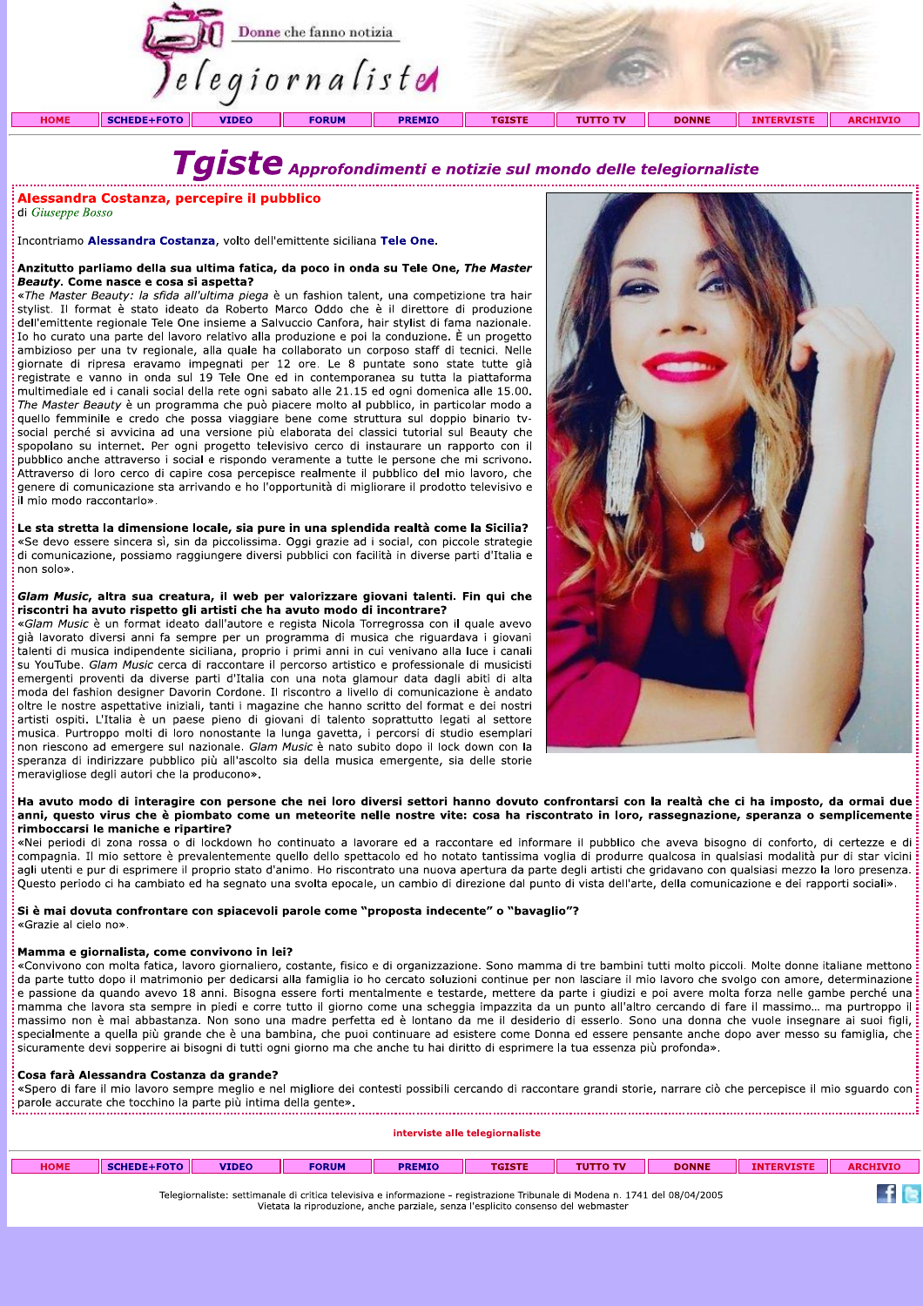

# Taiste Approfondimenti e notizie sul mondo delle telegiornaliste

# Alessandra Costanza, percepire il pubblico

di Giuseppe Bosso

.<br>Incontriamo Alessandra Costanza, volto dell'emittente siciliana Tele One.

#### Anzitutto parliamo della sua ultima fatica, da poco in onda su Tele One, The Master Beauty. Come nasce e cosa si aspetta?

«The Master Beauty: la sfida all'ultima piega è un fashion talent, una competizione tra hair stylist. Il format è stato ideato da Roberto Marco Oddo che è il direttore di produzione dell'emittente regionale Tele One insieme a Salvuccio Canfora, hair stylist di fama nazionale. Io ho curato una parte del lavoro relativo alla produzione e poi la conduzione. È un progetto ambizioso per una tv regionale, alla quale ha collaborato un corposo staff di tecnici. Nelle giornate di ripresa eravamo impegnati per 12 ore. Le 8 puntate sono state tutte già registrate e vanno in onda sul 19 Tele One ed in contemporanea su tutta la piattaforma multimediale ed i canali social della rete ogni sabato alle 21.15 ed ogni domenica alle 15.00. The Master Beauty è un programma che può piacere molto al pubblico, in particolar modo a quello femminile e credo che possa viaggiare bene come struttura sul doppio binario tvsocial perché si avvicina ad una versione più elaborata dei classici tutorial sul Beauty che spopolano su internet. Per ogni progetto televisivo cerco di instaurare un rapporto con il pubblico anche attraverso i social e rispondo veramente a tutte le persone che mi scrivono. Attraverso di loro cerco di capire cosa percepisce realmente il pubblico del mio lavoro, che genere di comunicazione sta arrivando e ho l'opportunità di migliorare il prodotto televisivo e il mio modo raccontarlo».

Le sta stretta la dimensione locale, sia pure in una splendida realtà come la Sicilia? «Se devo essere sincera sì, sin da piccolissima. Oggi grazie ad i social, con piccole strategie di comunicazione, possiamo raggiungere diversi pubblici con facilità in diverse parti d'Italia e non solo».

#### Glam Music, altra sua creatura, il web per valorizzare giovani talenti. Fin qui che riscontri ha avuto rispetto gli artisti che ha avuto modo di incontrare?

«Glam Music è un format ideato dall'autore e regista Nicola Torregrossa con il quale avevo già lavorato diversi anni fa sempre per un programma di musica che riguardava i giovani talenti di musica indipendente siciliana, proprio i primi anni in cui venivano alla luce i canali su YouTube. Glam Music cerca di raccontare il percorso artistico e professionale di musicisti emergenti proventi da diverse parti d'Italia con una nota glamour data dagli abiti di alta moda del fashion designer Davorin Cordone. Il riscontro a livello di comunicazione è andato oltre le nostre aspettative iniziali, tanti i magazine che hanno scritto del format e dei nostri artisti ospiti. L'Italia è un paese pieno di giovani di talento soprattutto legati al settore musica. Purtroppo molti di loro nonostante la lunga gavetta, i percorsi di studio esemplari non riescono ad emergere sul nazionale. Glam Music è nato subito dopo il lock down con la speranza di indirizzare pubblico più all'ascolto sia della musica emergente, sia delle storie meravigliose degli autori che la producono».



# Ha avuto modo di interagire con persone che nei loro diversi settori hanno dovuto confrontarsi con la realtà che ci ha imposto, da ormai due anni, questo virus che è piombato come un meteorite nelle nostre vite: cosa ha riscontrato in loro, rassegnazione, speranza o semplicemente rimboccarsi le maniche e rinartire?

«Nei periodi di zona rossa o di lockdown ho continuato a lavorare ed a raccontare ed informare il pubblico che aveva bisogno di conforto, di certezze e di compagnia. Il mio settore è prevalentemente quello dello spettacolo ed ho notato tantissima voglia di produrre qualcosa in qualsiasi modalità pur di star vicini agli utenti e pur di esprimere il proprio stato d'animo. Ho riscontrato una nuova apertura da parte degli artisti che gridavano con qualsiasi mezzo la loro presenza. Questo periodo ci ha cambiato ed ha segnato una svolta epocale, un cambio di direzione dal punto di vista dell'arte, della comunicazione e dei rapporti sociali».

# Si è mai dovuta confrontare con spiacevoli parole come "proposta indecente" o "bavaglio"? «Grazie al cielo no».

#### Mamma e giornalista, come convivono in lei?

«Convivono con molta fatica, lavoro giornaliero, costante, fisico e di organizzazione. Sono mamma di tre bambini tutti molto piccoli. Molte donne italiane mettono da parte tutto dopo il matrimonio per dedicarsi alla famiglia io ho cercato soluzioni continue per non lasciare il mio lavoro che svolgo con amore, determinazione e passione da quando avevo 18 anni. Bisogna essere forti mentalmente e testarde, mettere da parte i giudizi e poi avere molta forza nelle gambe perché una mamma che lavora sta sempre in piedi e corre tutto il giorno come una scheggia impazzita da un punto all'altro cercando di fare il massimo... ma purtroppo il massimo non è mai abbastanza. Non sono una madre perfetta ed è lontano da me il desiderio di esserlo. Sono una donna che vuole insegnare ai suoi figli, specialmente a quella più grande che è una bambina, che puoi continuare ad esistere come Donna ed essere pensante anche dopo aver messo su famiglia, che .<br>Sicuramente devi sopperire ai bisogni di tutti ogni giorno ma che anche tu hai diritto di esprimere la tua essenza più profonda».

## Cosa farà Alessandra Costanza da grande?

«Spero di fare il mio lavoro sempre meglio e nel migliore dei contesti possibili cercando di raccontare grandi storie, narrare ciò che percepisce il mio squardo con  $\frac{1}{2}$  parole accurate che tocchino la parte più intima della gente».<br>Parole accurate che tocchino la parte più intima della gente».

interviste alle telegiornaliste

| <b>HOME</b>                                                                                                                                                                                                                                                                                                                                                    | SCHEDE+FOTO | <b>VIDEO</b> | <b>FORUM</b> | <b>PREMIO</b> | <b>TGISTE</b> | <b>TUTTO TV</b> | <b>DONNE</b> | <b>INTERVISTE</b> | <b>ARCHIVIO</b> |
|----------------------------------------------------------------------------------------------------------------------------------------------------------------------------------------------------------------------------------------------------------------------------------------------------------------------------------------------------------------|-------------|--------------|--------------|---------------|---------------|-----------------|--------------|-------------------|-----------------|
| Telegiornaliste: settimanale di critica televisiva e informazione - registrazione Tribunale di Modena n. 1741 del 08/04/2005<br>Afternational and the continues of the computer of the contraction of the second and construction of the contraction of the contraction of the contraction of the contraction of the contraction of the contraction of the con |             |              |              |               |               |                 |              |                   |                 |

Vietata la riproduzione, anche parziale, senza l'esplicito consenso del webmaster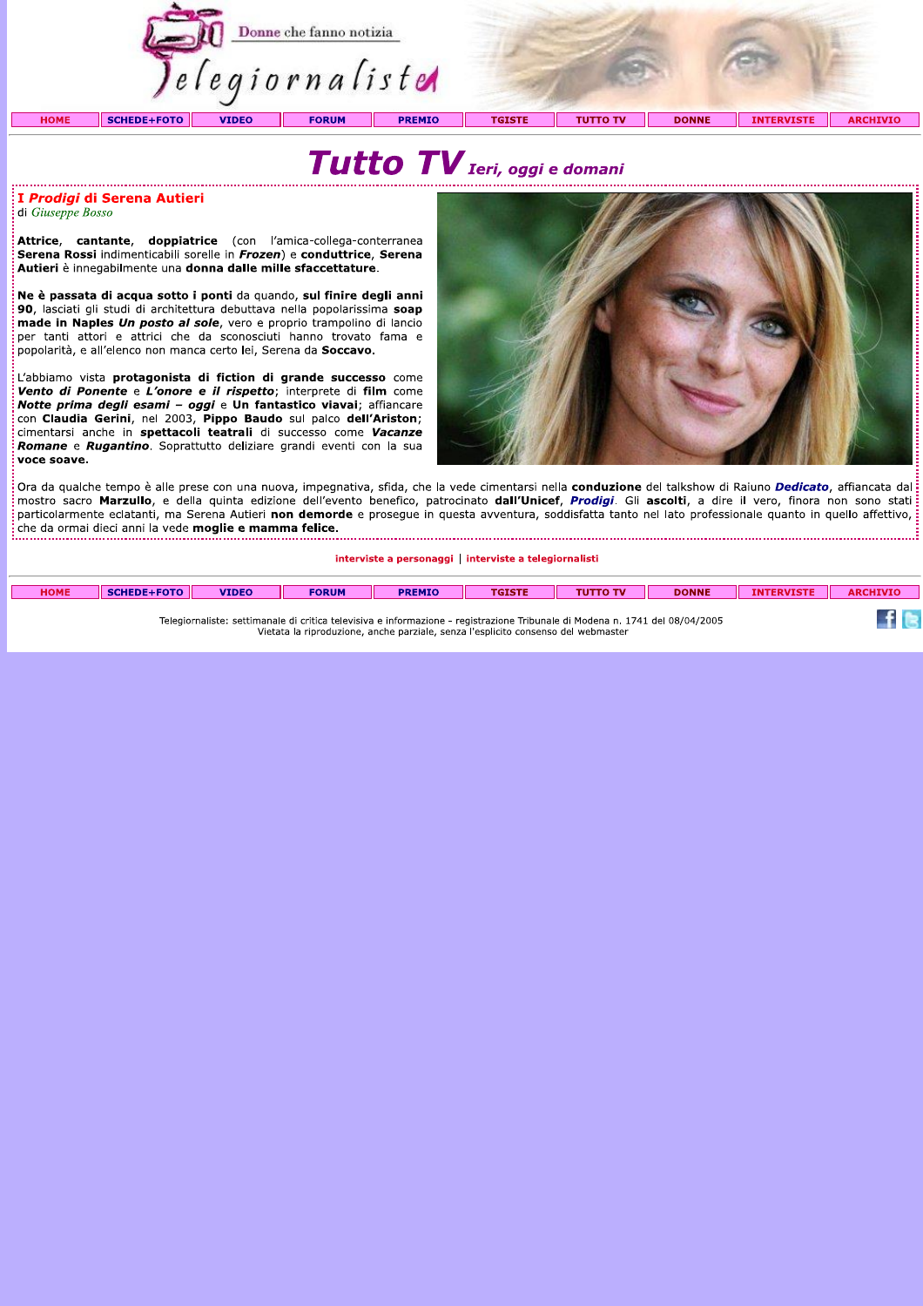



# I Prodigi di Serena Autieri di Giuseppe Bosso

Attrice, cantante, doppiatrice (con l'amica-collega-conterranea Serena Rossi indimenticabili sorelle in Frozen) e conduttrice, Serena Autieri è innegabilmente una donna dalle mille sfaccettature.

Ne è passata di acqua sotto i ponti da quando, sul finire degli anni 90, lasciati gli studi di architettura debuttava nella popolarissima soap made in Naples Un posto al sole, vero e proprio trampolino di lancio per tanti attori e attrici che da sconosciuti hanno trovato fama e .<br>popolarità, e all'elenco non manca certo lei, Serena da Soccavo.

L'abbiamo vista protagonista di fiction di grande successo come Vento di Ponente e L'onore e il rispetto; interprete di film come Notte prima degli esami - oggi e Un fantastico viavai; affiancare con Claudia Gerini, nel 2003, Pippo Baudo sul palco dell'Ariston; cimentarsi anche in spettacoli teatrali di successo come Vacanze Romane e Rugantino. Soprattutto deliziare grandi eventi con la sua voce soave.



Ora da qualche tempo è alle prese con una nuova, impegnativa, sfida, che la vede cimentarsi nella conduzione del talkshow di Raiuno Dedicato, affiancata dal :<br>: mostro sacro **Marzullo**, e della quinta edizione dell'evento benefico, patrocinato **dall'Unicef,** *Prodigi***.** Gli ascolti, a dire il vero, finora non sono stati particolarmente eclatanti, ma Serena Autieri non demorde e proseque in questa avventura, soddisfatta tanto nel lato professionale quanto in quello affettivo, che da ormai dieci anni la vede moglie e mamma felice. 

interviste a personaggi | interviste a telegiornalisti

| <b>HOME</b> | SCHEDE+FOTO | <b>VIDEO</b> | <b>FORUM</b> | <b>PREMIO</b> | <b>TGISTE</b> | <b>TUTTO TV</b> | <b>DONNE</b> | IN.<br><b>TERVISTI</b> | <b>ARCHIVIC</b> |
|-------------|-------------|--------------|--------------|---------------|---------------|-----------------|--------------|------------------------|-----------------|
|             |             |              |              |               |               |                 |              |                        |                 |

Telegiornaliste: settimanale di critica televisiva e informazione - registrazione Tribunale di Modena n. 1741 del 08/04/2005<br>Vietata la riproduzione, anche parziale, senza l'esplicito consenso del webmaster